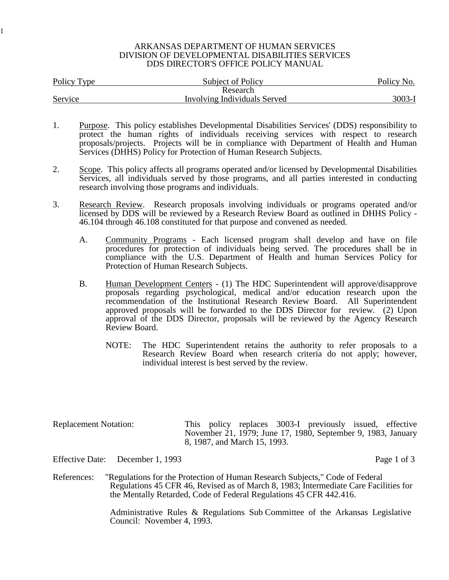## ARKANSAS DEPARTMENT OF HUMAN SERVICES DIVISION OF DEVELOPMENTAL DISABILITIES SERVICES DDS DIRECTOR'S OFFICE POLICY MANUAL

| Policy Type | <b>Subject of Policy</b>     | Policy No. |  |
|-------------|------------------------------|------------|--|
|             | Research                     |            |  |
| Service     | Involving Individuals Served | $3003 - I$ |  |

- 1. Purpose. This policy establishes Developmental Disabilities Services' (DDS) responsibility to protect the human rights of individuals receiving services with respect to research proposals/projects. Projects will be in compliance with Department of Health and Human Services (DHHS) Policy for Protection of Human Research Subjects.
- 2. Scope. This policy affects all programs operated and/or licensed by Developmental Disabilities Services, all individuals served by those programs, and all parties interested in conducting research involving those programs and individuals.
- 3. Research Review. Research proposals involving individuals or programs operated and/or licensed by DDS will be reviewed by a Research Review Board as outlined in DHHS Policy - 46.104 through 46.108 constituted for that purpose and convened as needed.
	- A. Community Programs Each licensed program shall develop and have on file procedures for protection of individuals being served. The procedures shall be in compliance with the U.S. Department of Health and human Services Policy for Protection of Human Research Subjects.
	- B. Human Development Centers (1) The HDC Superintendent will approve/disapprove proposals regarding psychological, medical and/or education research upon the recommendation of the Institutional Research Review Board. All Superintendent approved proposals will be forwarded to the DDS Director for review. (2) Upon approval of the DDS Director, proposals will be reviewed by the Agency Research Review Board.
		- NOTE: The HDC Superintendent retains the authority to refer proposals to a Research Review Board when research criteria do not apply; however, individual interest is best served by the review.

| <b>Replacement Notation:</b> |  |                              | This policy replaces 3003-I previously issued, effective     |  |
|------------------------------|--|------------------------------|--------------------------------------------------------------|--|
|                              |  | 8, 1987, and March 15, 1993. | November 21, 1979; June 17, 1980, September 9, 1983, January |  |

Effective Date: December 1, 1993 Page 1 of 3

1

References: "Regulations for the Protection of Human Research Subjects," Code of Federal Regulations 45 CFR 46, Revised as of March 8, 1983; Intermediate Care Facilities for the Mentally Retarded, Code of Federal Regulations 45 CFR 442.416.

> Administrative Rules & Regulations Sub Committee of the Arkansas Legislative Council: November 4, 1993.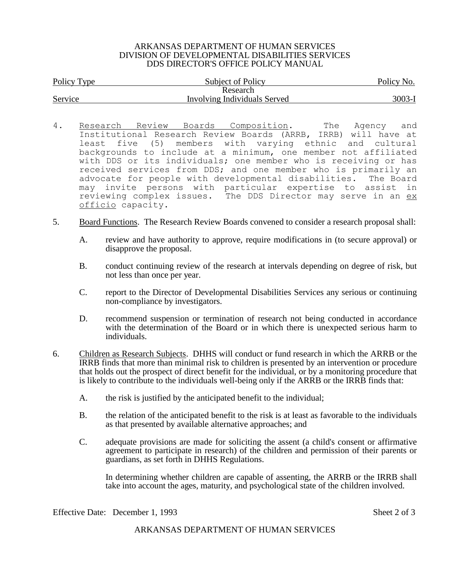## ARKANSAS DEPARTMENT OF HUMAN SERVICES DIVISION OF DEVELOPMENTAL DISABILITIES SERVICES DDS DIRECTOR'S OFFICE POLICY MANUAL

| Policy Type | <b>Subject of Policy</b>     | Policy No. |  |
|-------------|------------------------------|------------|--|
|             | Research                     |            |  |
| Service     | Involving Individuals Served | 3003-I     |  |

- 4. Research Review Boards Composition. The Agency and Institutional Research Review Boards (ARRB, IRRB) will have at least five (5) members with varying ethnic and cultural backgrounds to include at a minimum, one member not affiliated with DDS or its individuals; one member who is receiving or has received services from DDS; and one member who is primarily an advocate for people with developmental disabilities. The Board may invite persons with particular expertise to assist in reviewing complex issues. The DDS Director may serve in an ex officio capacity.
- 5. Board Functions. The Research Review Boards convened to consider a research proposal shall:
	- A. review and have authority to approve, require modifications in (to secure approval) or disapprove the proposal.
	- B. conduct continuing review of the research at intervals depending on degree of risk, but not less than once per year.
	- C. report to the Director of Developmental Disabilities Services any serious or continuing non-compliance by investigators.
	- D. recommend suspension or termination of research not being conducted in accordance with the determination of the Board or in which there is unexpected serious harm to individuals.
- 6. Children as Research Subjects. DHHS will conduct or fund research in which the ARRB or the IRRB finds that more than minimal risk to children is presented by an intervention or procedure that holds out the prospect of direct benefit for the individual, or by a monitoring procedure that is likely to contribute to the individuals well-being only if the ARRB or the IRRB finds that:
	- A. the risk is justified by the anticipated benefit to the individual;
	- B. the relation of the anticipated benefit to the risk is at least as favorable to the individuals as that presented by available alternative approaches; and
	- C. adequate provisions are made for soliciting the assent (a child's consent or affirmative agreement to participate in research) of the children and permission of their parents or guardians, as set forth in DHHS Regulations.

In determining whether children are capable of assenting, the ARRB or the IRRB shall take into account the ages, maturity, and psychological state of the children involved.

Effective Date: December 1, 1993 Sheet 2 of 3

ARKANSAS DEPARTMENT OF HUMAN SERVICES